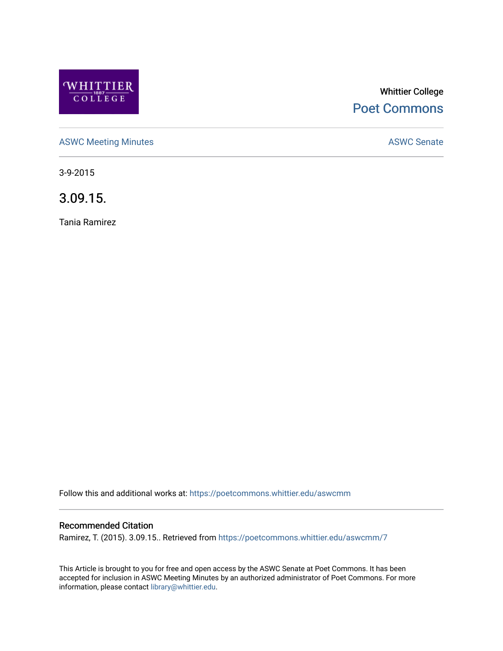

# Whittier College [Poet Commons](https://poetcommons.whittier.edu/)

[ASWC Meeting Minutes](https://poetcommons.whittier.edu/aswcmm) **ASWC Senate** 

3-9-2015

3.09.15.

Tania Ramirez

Follow this and additional works at: [https://poetcommons.whittier.edu/aswcmm](https://poetcommons.whittier.edu/aswcmm?utm_source=poetcommons.whittier.edu%2Faswcmm%2F7&utm_medium=PDF&utm_campaign=PDFCoverPages)

#### Recommended Citation

Ramirez, T. (2015). 3.09.15.. Retrieved from [https://poetcommons.whittier.edu/aswcmm/7](https://poetcommons.whittier.edu/aswcmm/7?utm_source=poetcommons.whittier.edu%2Faswcmm%2F7&utm_medium=PDF&utm_campaign=PDFCoverPages) 

This Article is brought to you for free and open access by the ASWC Senate at Poet Commons. It has been accepted for inclusion in ASWC Meeting Minutes by an authorized administrator of Poet Commons. For more information, please contact [library@whittier.edu.](mailto:library@whittier.edu)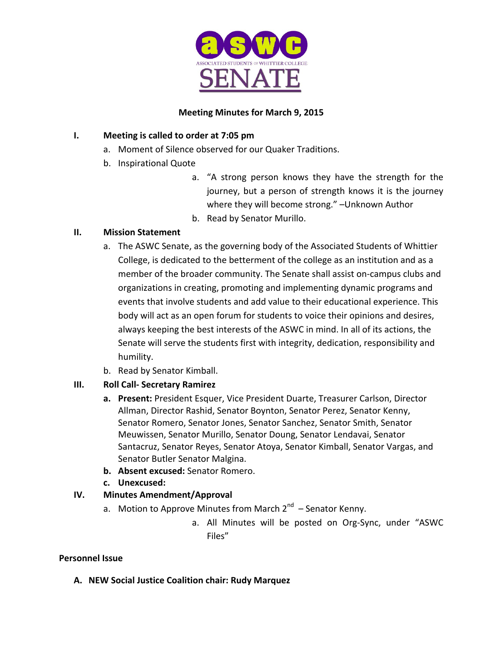

## **Meeting Minutes for March 9, 2015**

## **I.** Meeting is called to order at 7:05 pm

- a. Moment of Silence observed for our Quaker Traditions.
- b. Inspirational Quote
	- a. "A strong person knows they have the strength for the journey, but a person of strength knows it is the journey where they will become strong." - Unknown Author
	- b. Read by Senator Murillo.

## **II. Mission Statement**

- a. The ASWC Senate, as the governing body of the Associated Students of Whittier College, is dedicated to the betterment of the college as an institution and as a member of the broader community. The Senate shall assist on-campus clubs and organizations in creating, promoting and implementing dynamic programs and events that involve students and add value to their educational experience. This body will act as an open forum for students to voice their opinions and desires, always keeping the best interests of the ASWC in mind. In all of its actions, the Senate will serve the students first with integrity, dedication, responsibility and humility.
- b. Read by Senator Kimball.

# **III. Roll Call- Secretary Ramirez**

- **a.** Present: President Esquer, Vice President Duarte, Treasurer Carlson, Director Allman, Director Rashid, Senator Boynton, Senator Perez, Senator Kenny, Senator Romero, Senator Jones, Senator Sanchez, Senator Smith, Senator Meuwissen, Senator Murillo, Senator Doung, Senator Lendavai, Senator Santacruz, Senator Reyes, Senator Atoya, Senator Kimball, Senator Vargas, and Senator Butler Senator Malgina.
- **b. Absent excused:** Senator Romero.
- **c. Unexcused:**

# **IV. Minutes Amendment/Approval**

- a. Motion to Approve Minutes from March  $2^{nd}$  Senator Kenny.
	- a. All Minutes will be posted on Org-Sync, under "ASWC Files"

## **Personnel Issue**

**A. NEW Social Justice Coalition chair: Rudy Marquez**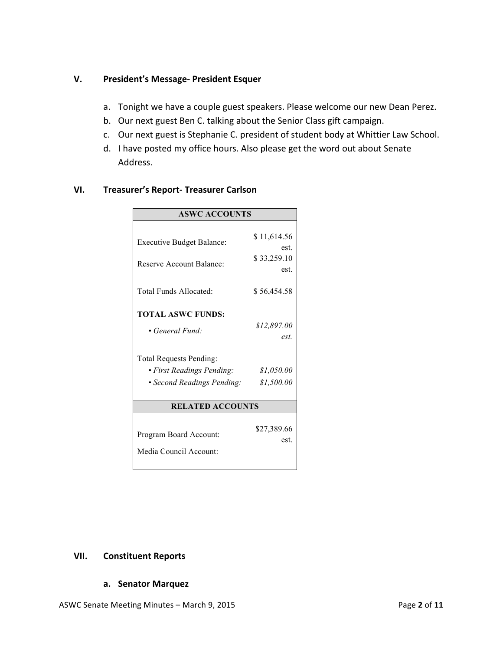#### **V.** President's Message- President Esquer

- a. Tonight we have a couple guest speakers. Please welcome our new Dean Perez.
- b. Our next guest Ben C. talking about the Senior Class gift campaign.
- c. Our next guest is Stephanie C. president of student body at Whittier Law School.
- d. I have posted my office hours. Also please get the word out about Senate Address.

| <b>ASWC ACCOUNTS</b>             |             |
|----------------------------------|-------------|
|                                  |             |
| <b>Executive Budget Balance:</b> | \$11,614.56 |
|                                  | est.        |
| Reserve Account Balance:         | \$33,259.10 |
|                                  | est.        |
|                                  |             |
| Total Funds Allocated:           | \$56,454.58 |
|                                  |             |
| <b>TOTAL ASWC FUNDS:</b>         |             |
| • General Fund:                  | \$12,897.00 |
|                                  | est.        |
| <b>Total Requests Pending:</b>   |             |
| · First Readings Pending:        | \$1,050.00  |
| • Second Readings Pending:       | \$1,500.00  |
|                                  |             |
| <b>RELATED ACCOUNTS</b>          |             |
|                                  |             |
|                                  | \$27,389.66 |
| Program Board Account:           | est.        |
| Media Council Account:           |             |
|                                  |             |

#### **VI. Treasurer's Report- Treasurer Carlson**

#### **VII. Constituent Reports**

#### **a. Senator Marquez**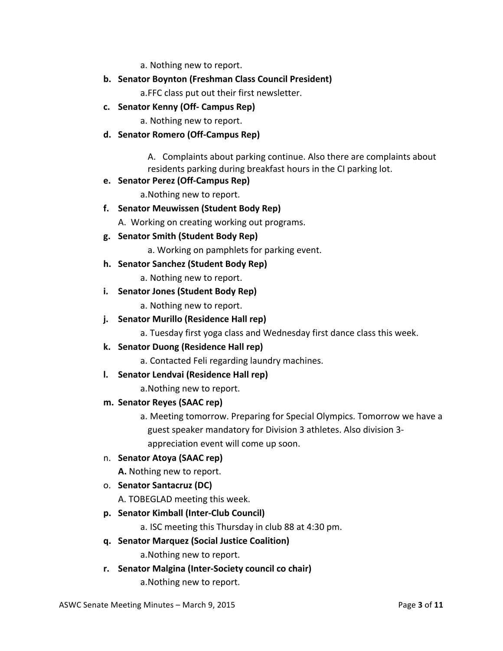a. Nothing new to report.

**b.** Senator Boynton (Freshman Class Council President)

a.FFC class put out their first newsletter.

**c. Senator Kenny (Off- Campus Rep)**

a. Nothing new to report.

**d. Senator Romero (Off-Campus Rep)**

A. Complaints about parking continue. Also there are complaints about residents parking during breakfast hours in the CI parking lot.

#### **e. Senator Perez (Off-Campus Rep)**

a. Nothing new to report.

**f. Senator Meuwissen (Student Body Rep)**

A. Working on creating working out programs.

- **g. Senator Smith (Student Body Rep)**
	- a. Working on pamphlets for parking event.
- **h. Senator Sanchez (Student Body Rep)**

a. Nothing new to report.

#### **i.** Senator Jones (Student Body Rep)

a. Nothing new to report.

**j.** Senator Murillo (Residence Hall rep)

a. Tuesday first yoga class and Wednesday first dance class this week.

- **k. Senator Duong (Residence Hall rep)**
	- a. Contacted Feli regarding laundry machines.
- **l.** Senator Lendvai (Residence Hall rep)

a. Nothing new to report.

- **m. Senator Reyes (SAAC rep)**
	- a. Meeting tomorrow. Preparing for Special Olympics. Tomorrow we have a guest speaker mandatory for Division 3 athletes. Also division 3appreciation event will come up soon.
- n. **Senator Atoya (SAAC rep)**

**A.** Nothing new to report.

o. **Senator Santacruz (DC)**

A. TOBEGLAD meeting this week.

**p. Senator Kimball (Inter-Club Council)**

a. ISC meeting this Thursday in club 88 at 4:30 pm.

**q. Senator Marquez (Social Justice Coalition)**

a. Nothing new to report.

**r. Senator Malgina (Inter-Society council co chair)**

a. Nothing new to report.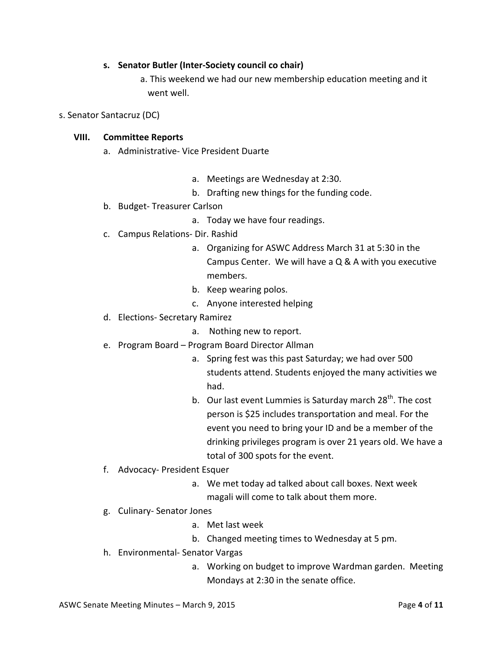#### **s.** Senator Butler (Inter-Society council co chair)

a. This weekend we had our new membership education meeting and it went well.

s. Senator Santacruz (DC)

#### **VIII. Committee Reports**

- a. Administrative- Vice President Duarte
	- a. Meetings are Wednesday at 2:30.
	- b. Drafting new things for the funding code.
- b. Budget-Treasurer Carlson
	- a. Today we have four readings.
- c. Campus Relations- Dir. Rashid
	- a. Organizing for ASWC Address March 31 at 5:30 in the Campus Center. We will have a  $Q & A$  with you executive members.
	- b. Keep wearing polos.
	- c. Anyone interested helping
- d. Elections- Secretary Ramirez
	- a. Nothing new to report.
- e. Program Board Program Board Director Allman
	- a. Spring fest was this past Saturday; we had over 500 students attend. Students enjoyed the many activities we had.
	- b. Our last event Lummies is Saturday march  $28^{th}$ . The cost person is \$25 includes transportation and meal. For the event you need to bring your ID and be a member of the drinking privileges program is over 21 years old. We have a total of 300 spots for the event.
- f. Advocacy- President Esquer
	- a. We met today ad talked about call boxes. Next week magali will come to talk about them more.
- g. Culinary-Senator Jones
	- a. Met last week
	- b. Changed meeting times to Wednesday at 5 pm.
- h. Environmental- Senator Vargas
	- a. Working on budget to improve Wardman garden. Meeting Mondays at 2:30 in the senate office.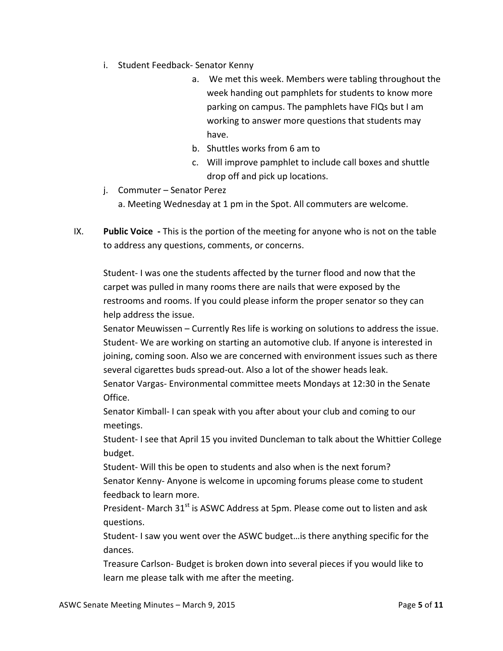- i. Student Feedback- Senator Kenny
	- a. We met this week. Members were tabling throughout the week handing out pamphlets for students to know more parking on campus. The pamphlets have FIQs but I am working to answer more questions that students may have.
	- b. Shuttles works from 6 am to
	- c. Will improve pamphlet to include call boxes and shuttle drop off and pick up locations.
- j. Commuter Senator Perez
	- a. Meeting Wednesday at 1 pm in the Spot. All commuters are welcome.
- IX. **Public Voice** This is the portion of the meeting for anyone who is not on the table to address any questions, comments, or concerns.

Student- I was one the students affected by the turner flood and now that the carpet was pulled in many rooms there are nails that were exposed by the restrooms and rooms. If you could please inform the proper senator so they can help address the issue.

Senator Meuwissen – Currently Res life is working on solutions to address the issue. Student- We are working on starting an automotive club. If anyone is interested in joining, coming soon. Also we are concerned with environment issues such as there several cigarettes buds spread-out. Also a lot of the shower heads leak.

Senator Vargas- Environmental committee meets Mondays at 12:30 in the Senate Office. 

Senator Kimball- I can speak with you after about your club and coming to our meetings. 

Student- I see that April 15 you invited Duncleman to talk about the Whittier College budget. 

Student- Will this be open to students and also when is the next forum? Senator Kenny- Anyone is welcome in upcoming forums please come to student feedback to learn more.

President- March  $31<sup>st</sup>$  is ASWC Address at 5pm. Please come out to listen and ask questions. 

Student- I saw you went over the ASWC budget... is there anything specific for the dances. 

Treasure Carlson- Budget is broken down into several pieces if you would like to learn me please talk with me after the meeting.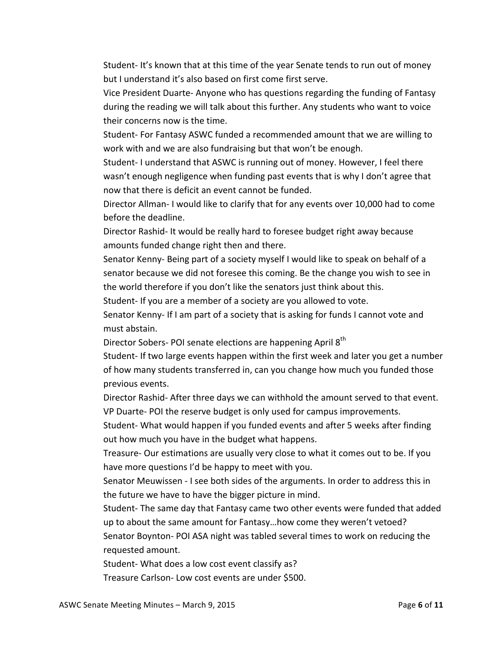Student- It's known that at this time of the year Senate tends to run out of money but I understand it's also based on first come first serve.

Vice President Duarte- Anyone who has questions regarding the funding of Fantasy during the reading we will talk about this further. Any students who want to voice their concerns now is the time.

Student- For Fantasy ASWC funded a recommended amount that we are willing to work with and we are also fundraising but that won't be enough.

Student- I understand that ASWC is running out of money. However, I feel there wasn't enough negligence when funding past events that is why I don't agree that now that there is deficit an event cannot be funded.

Director Allman- I would like to clarify that for any events over 10,000 had to come before the deadline.

Director Rashid- It would be really hard to foresee budget right away because amounts funded change right then and there.

Senator Kenny- Being part of a society myself I would like to speak on behalf of a senator because we did not foresee this coming. Be the change you wish to see in the world therefore if you don't like the senators just think about this.

Student- If you are a member of a society are you allowed to vote.

Senator Kenny- If I am part of a society that is asking for funds I cannot vote and must abstain.

Director Sobers- POI senate elections are happening April 8<sup>th</sup>

Student- If two large events happen within the first week and later you get a number of how many students transferred in, can you change how much you funded those previous events.

Director Rashid- After three days we can withhold the amount served to that event. VP Duarte- POI the reserve budget is only used for campus improvements.

Student- What would happen if you funded events and after 5 weeks after finding out how much you have in the budget what happens.

Treasure- Our estimations are usually very close to what it comes out to be. If you have more questions I'd be happy to meet with you.

Senator Meuwissen - I see both sides of the arguments. In order to address this in the future we have to have the bigger picture in mind.

Student- The same day that Fantasy came two other events were funded that added up to about the same amount for Fantasy...how come they weren't vetoed? Senator Boynton- POI ASA night was tabled several times to work on reducing the requested amount.

Student- What does a low cost event classify as?

Treasure Carlson- Low cost events are under \$500.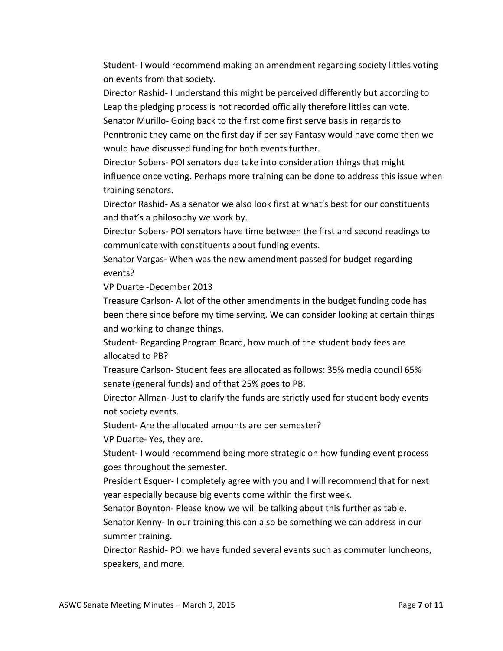Student- I would recommend making an amendment regarding society littles voting on events from that society.

Director Rashid- I understand this might be perceived differently but according to Leap the pledging process is not recorded officially therefore littles can vote. Senator Murillo- Going back to the first come first serve basis in regards to Penntronic they came on the first day if per say Fantasy would have come then we

would have discussed funding for both events further.

Director Sobers- POI senators due take into consideration things that might influence once voting. Perhaps more training can be done to address this issue when training senators.

Director Rashid- As a senator we also look first at what's best for our constituents and that's a philosophy we work by.

Director Sobers- POI senators have time between the first and second readings to communicate with constituents about funding events.

Senator Vargas- When was the new amendment passed for budget regarding events? 

VP Duarte -December 2013

Treasure Carlson- A lot of the other amendments in the budget funding code has been there since before my time serving. We can consider looking at certain things and working to change things.

Student- Regarding Program Board, how much of the student body fees are allocated to PB?

Treasure Carlson- Student fees are allocated as follows: 35% media council 65% senate (general funds) and of that 25% goes to PB.

Director Allman- Just to clarify the funds are strictly used for student body events not society events.

Student- Are the allocated amounts are per semester?

VP Duarte-Yes, they are.

Student- I would recommend being more strategic on how funding event process goes throughout the semester.

President Esquer- I completely agree with you and I will recommend that for next year especially because big events come within the first week.

Senator Boynton- Please know we will be talking about this further as table.

Senator Kenny- In our training this can also be something we can address in our summer training.

Director Rashid- POI we have funded several events such as commuter luncheons, speakers, and more.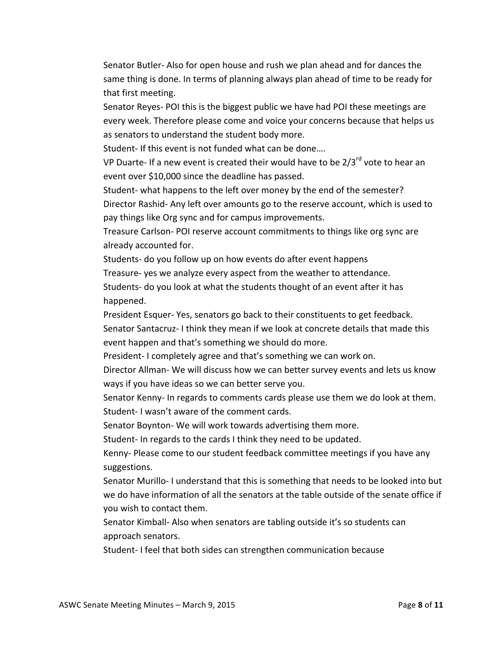Senator Butler- Also for open house and rush we plan ahead and for dances the same thing is done. In terms of planning always plan ahead of time to be ready for that first meeting.

Senator Reyes- POI this is the biggest public we have had POI these meetings are every week. Therefore please come and voice your concerns because that helps us as senators to understand the student body more.

Student- If this event is not funded what can be done....

VP Duarte- If a new event is created their would have to be  $2/3^{rd}$  vote to hear an event over \$10,000 since the deadline has passed.

Student- what happens to the left over money by the end of the semester? Director Rashid- Any left over amounts go to the reserve account, which is used to pay things like Org sync and for campus improvements.

Treasure Carlson- POI reserve account commitments to things like org sync are already accounted for.

Students- do you follow up on how events do after event happens

Treasure- yes we analyze every aspect from the weather to attendance.

Students- do you look at what the students thought of an event after it has happened. 

President Esquer- Yes, senators go back to their constituents to get feedback.

Senator Santacruz- I think they mean if we look at concrete details that made this event happen and that's something we should do more.

President-I completely agree and that's something we can work on.

Director Allman- We will discuss how we can better survey events and lets us know ways if you have ideas so we can better serve you.

Senator Kenny- In regards to comments cards please use them we do look at them. Student- I wasn't aware of the comment cards.

Senator Boynton- We will work towards advertising them more.

Student- In regards to the cards I think they need to be updated.

Kenny- Please come to our student feedback committee meetings if you have any suggestions. 

Senator Murillo- I understand that this is something that needs to be looked into but we do have information of all the senators at the table outside of the senate office if you wish to contact them.

Senator Kimball- Also when senators are tabling outside it's so students can approach senators. 

Student- I feel that both sides can strengthen communication because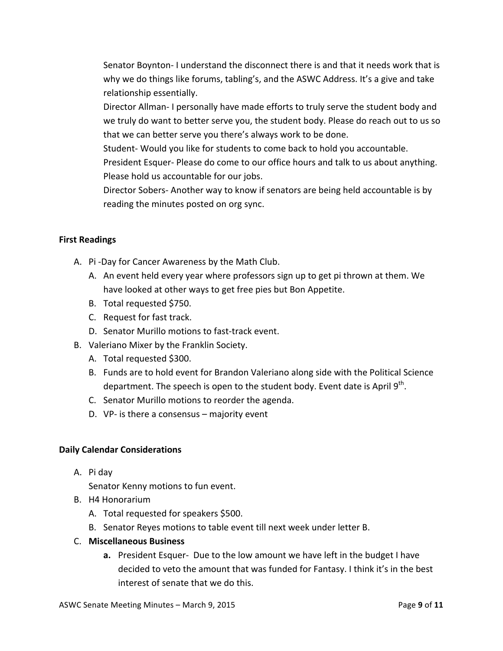Senator Boynton- I understand the disconnect there is and that it needs work that is why we do things like forums, tabling's, and the ASWC Address. It's a give and take relationship essentially.

Director Allman- I personally have made efforts to truly serve the student body and we truly do want to better serve you, the student body. Please do reach out to us so that we can better serve you there's always work to be done.

Student- Would you like for students to come back to hold you accountable.

President Esquer- Please do come to our office hours and talk to us about anything. Please hold us accountable for our jobs.

Director Sobers- Another way to know if senators are being held accountable is by reading the minutes posted on org sync.

## **First Readings**

- A. Pi-Day for Cancer Awareness by the Math Club.
	- A. An event held every year where professors sign up to get pi thrown at them. We have looked at other ways to get free pies but Bon Appetite.
	- B. Total requested \$750.
	- C. Request for fast track.
	- D. Senator Murillo motions to fast-track event.
- B. Valeriano Mixer by the Franklin Society.
	- A. Total requested \$300.
	- B. Funds are to hold event for Brandon Valeriano along side with the Political Science department. The speech is open to the student body. Event date is April 9<sup>th</sup>.
	- C. Senator Murillo motions to reorder the agenda.
	- D. VP- is there a consensus  $-$  majority event

## **Daily Calendar Considerations**

A. Pi day

Senator Kenny motions to fun event.

- B. H4 Honorarium
	- A. Total requested for speakers \$500.
	- B. Senator Reyes motions to table event till next week under letter B.
- C. **Miscellaneous Business**
	- **a.** President Esquer- Due to the low amount we have left in the budget I have decided to veto the amount that was funded for Fantasy. I think it's in the best interest of senate that we do this.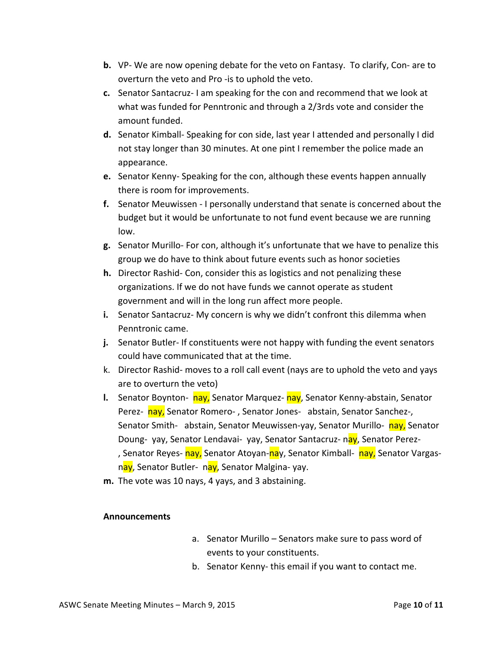- **b.** VP- We are now opening debate for the veto on Fantasy. To clarify, Con- are to overturn the veto and Pro -is to uphold the veto.
- **c.** Senator Santacruz-I am speaking for the con and recommend that we look at what was funded for Penntronic and through a 2/3rds vote and consider the amount funded.
- d. Senator Kimball- Speaking for con side, last year I attended and personally I did not stay longer than 30 minutes. At one pint I remember the police made an appearance.
- **e.** Senator Kenny- Speaking for the con, although these events happen annually there is room for improvements.
- **f.** Senator Meuwissen I personally understand that senate is concerned about the budget but it would be unfortunate to not fund event because we are running low.
- **g.** Senator Murillo- For con, although it's unfortunate that we have to penalize this group we do have to think about future events such as honor societies
- **h.** Director Rashid- Con, consider this as logistics and not penalizing these organizations. If we do not have funds we cannot operate as student government and will in the long run affect more people.
- **i.** Senator Santacruz- My concern is why we didn't confront this dilemma when Penntronic came.
- **j.** Senator Butler- If constituents were not happy with funding the event senators could have communicated that at the time.
- k. Director Rashid- moves to a roll call event (nays are to uphold the veto and yays are to overturn the veto)
- **l.** Senator Boynton- nay, Senator Marquez- nay, Senator Kenny-abstain, Senator Perez- nay, Senator Romero-, Senator Jones- abstain, Senator Sanchez-, Senator Smith- abstain, Senator Meuwissen-yay, Senator Murillo- nay, Senator Doung- yay, Senator Lendavai- yay, Senator Santacruz- nay, Senator Perez-, Senator Reyes- nay, Senator Atoyan-nay, Senator Kimball- nay, Senator Vargasnay, Senator Butler- nay, Senator Malgina- yay.
- m. The vote was 10 nays, 4 yays, and 3 abstaining.

#### **Announcements**

- a. Senator Murillo Senators make sure to pass word of events to your constituents.
- b. Senator Kenny-this email if you want to contact me.